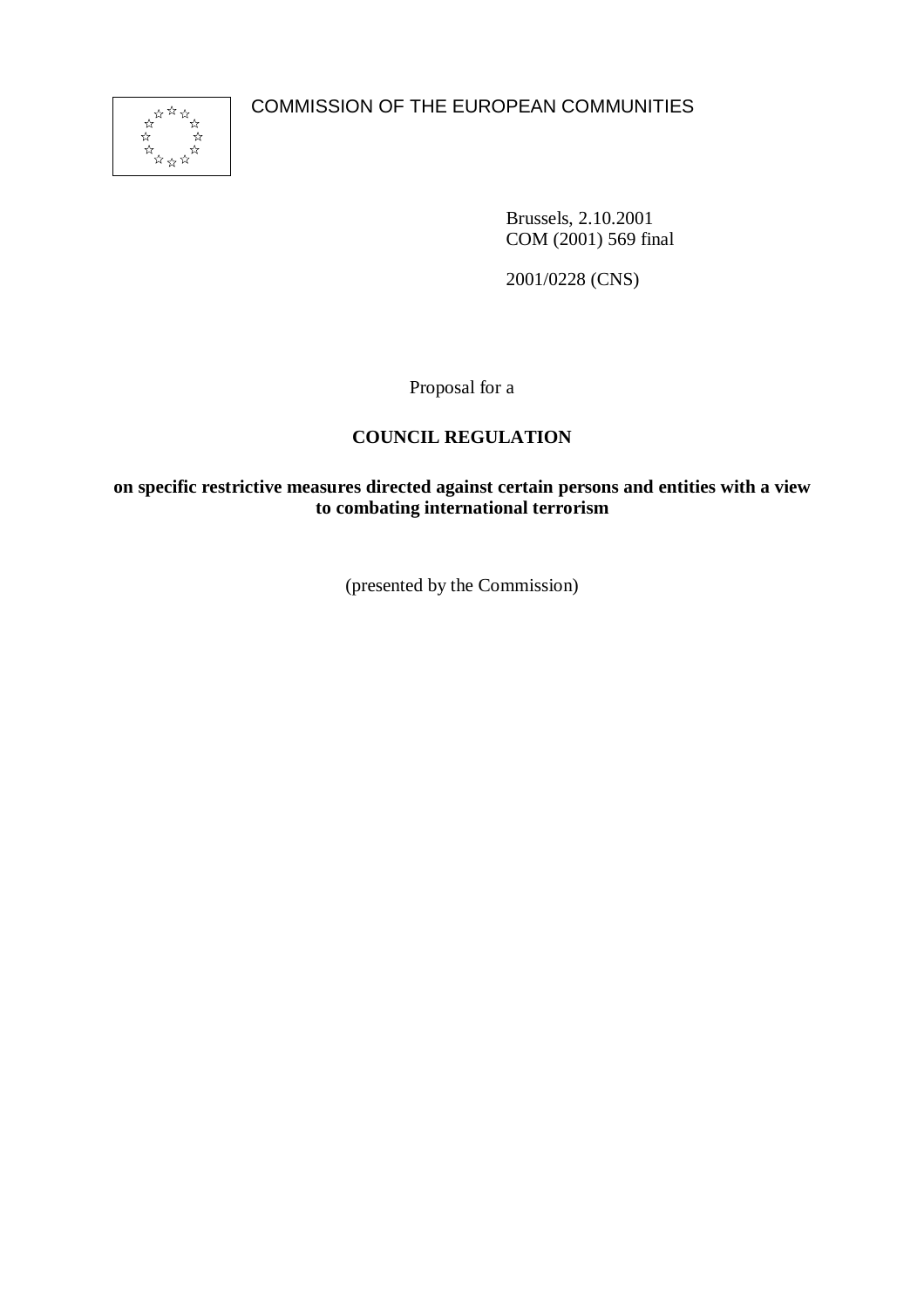COMMISSION OF THE EUROPEAN COMMUNITIES



Brussels, 2.10.2001 COM (2001) 569 final

2001/0228 (CNS)

Proposal for a

# **COUNCIL REGULATION**

**on specific restrictive measures directed against certain persons and entities with a view to combating international terrorism**

(presented by the Commission)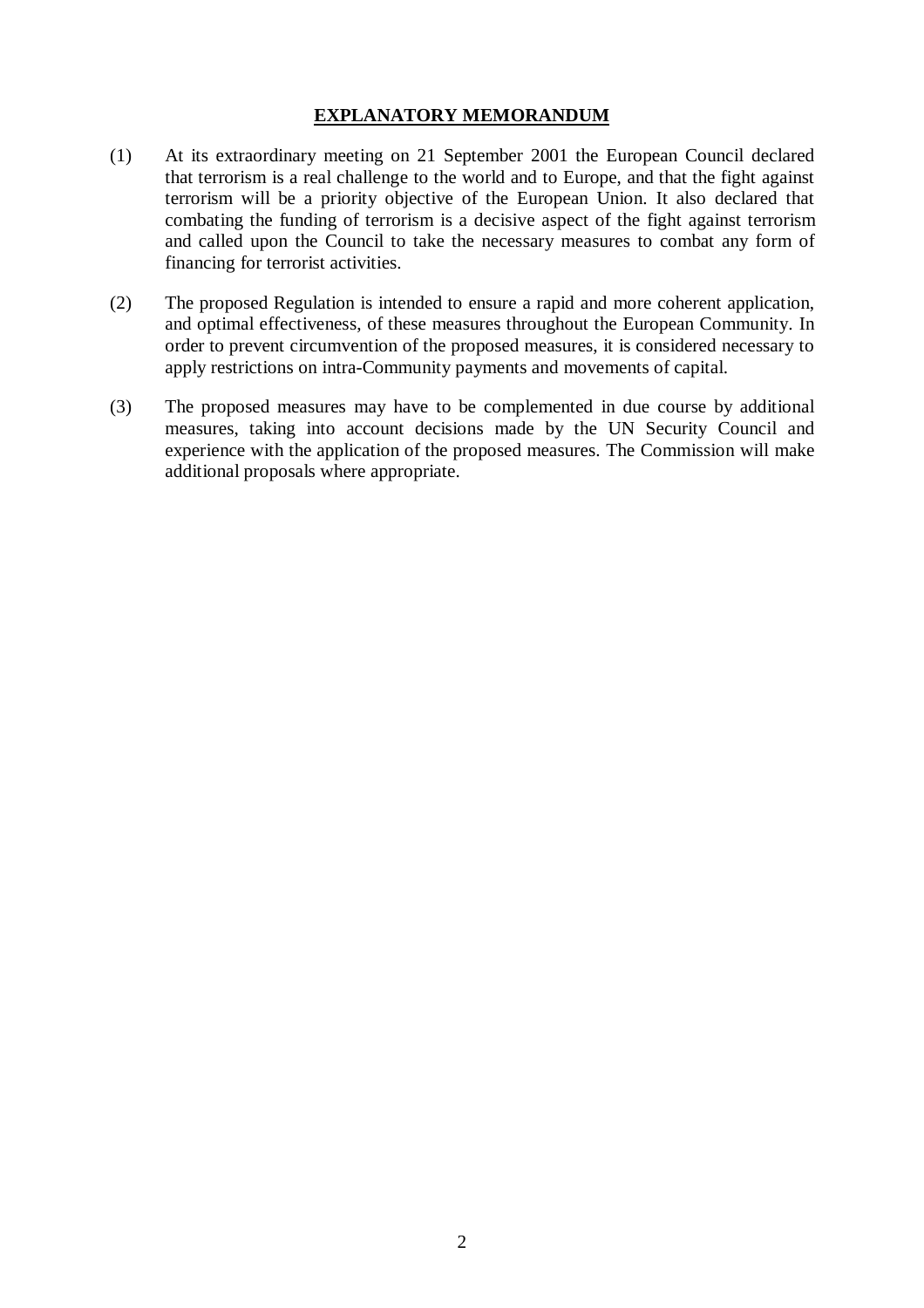# **EXPLANATORY MEMORANDUM**

- (1) At its extraordinary meeting on 21 September 2001 the European Council declared that terrorism is a real challenge to the world and to Europe, and that the fight against terrorism will be a priority objective of the European Union. It also declared that combating the funding of terrorism is a decisive aspect of the fight against terrorism and called upon the Council to take the necessary measures to combat any form of financing for terrorist activities.
- (2) The proposed Regulation is intended to ensure a rapid and more coherent application, and optimal effectiveness, of these measures throughout the European Community. In order to prevent circumvention of the proposed measures, it is considered necessary to apply restrictions on intra-Community payments and movements of capital.
- (3) The proposed measures may have to be complemented in due course by additional measures, taking into account decisions made by the UN Security Council and experience with the application of the proposed measures. The Commission will make additional proposals where appropriate.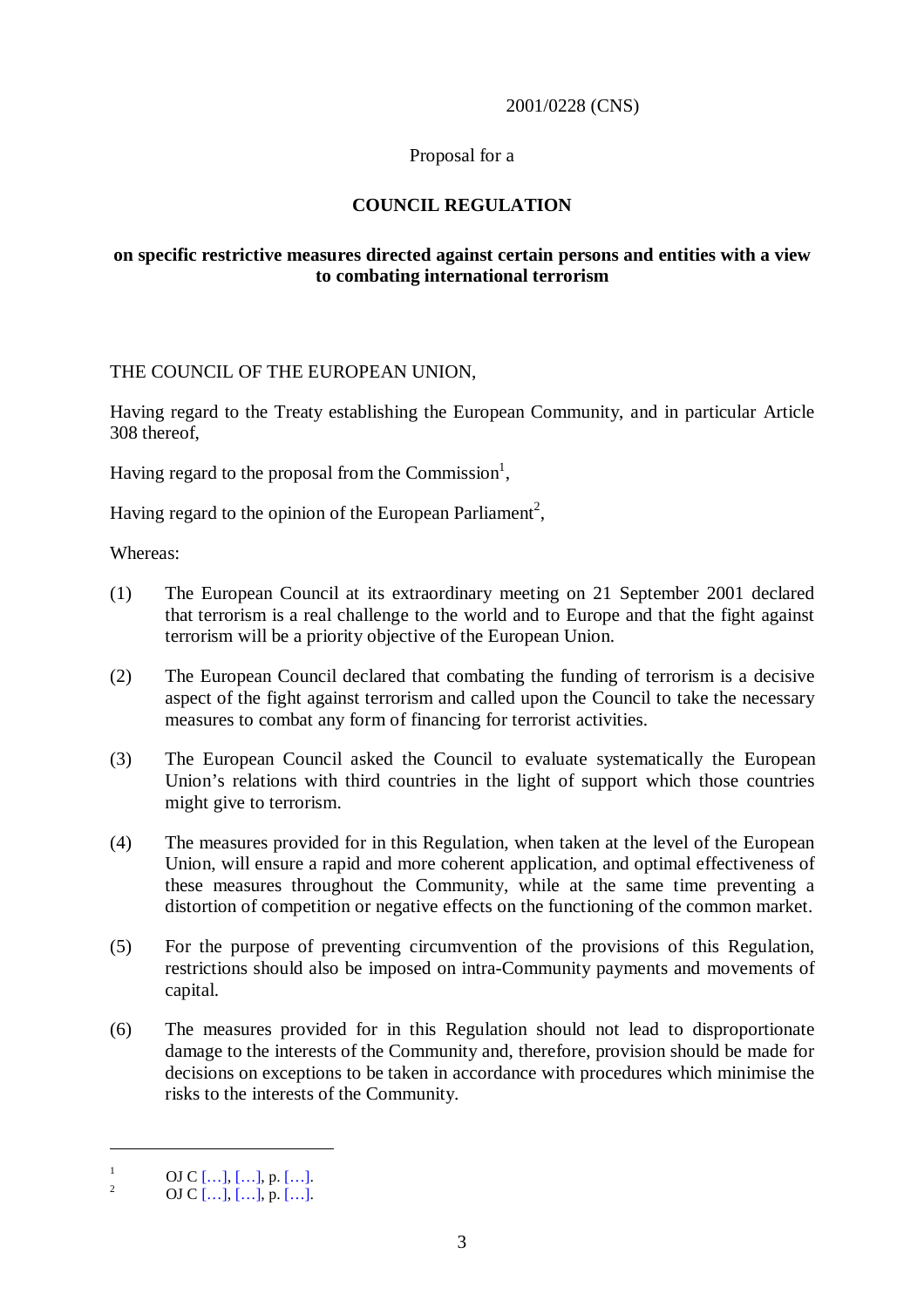### 2001/0228 (CNS)

# Proposal for a

# **COUNCIL REGULATION**

## **on specific restrictive measures directed against certain persons and entities with a view to combating international terrorism**

## THE COUNCIL OF THE EUROPEAN UNION,

Having regard to the Treaty establishing the European Community, and in particular Article 308 thereof,

Having regard to the proposal from the Commission<sup>1</sup>,

Having regard to the opinion of the European Parliament<sup>2</sup>,

Whereas:

- (1) The European Council at its extraordinary meeting on 21 September 2001 declared that terrorism is a real challenge to the world and to Europe and that the fight against terrorism will be a priority objective of the European Union.
- (2) The European Council declared that combating the funding of terrorism is a decisive aspect of the fight against terrorism and called upon the Council to take the necessary measures to combat any form of financing for terrorist activities.
- (3) The European Council asked the Council to evaluate systematically the European Union's relations with third countries in the light of support which those countries might give to terrorism.
- (4) The measures provided for in this Regulation, when taken at the level of the European Union, will ensure a rapid and more coherent application, and optimal effectiveness of these measures throughout the Community, while at the same time preventing a distortion of competition or negative effects on the functioning of the common market.
- (5) For the purpose of preventing circumvention of the provisions of this Regulation, restrictions should also be imposed on intra-Community payments and movements of capital.
- (6) The measures provided for in this Regulation should not lead to disproportionate damage to the interests of the Community and, therefore, provision should be made for decisions on exceptions to be taken in accordance with procedures which minimise the risks to the interests of the Community.

 $\frac{1}{2}$  OJ C [...], [...], p. [...].<br>OJ C [...], [...], p. [...].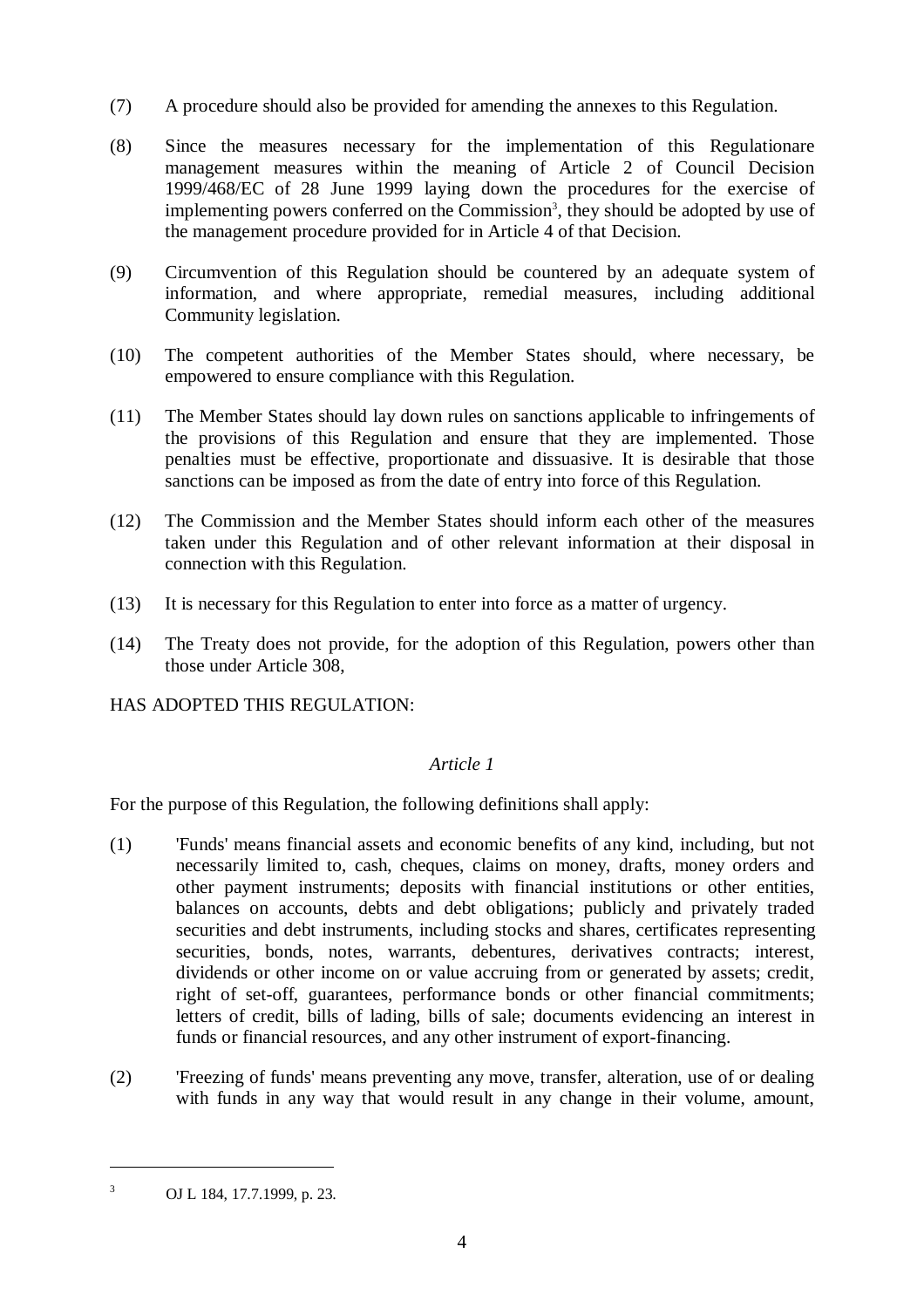- (7) A procedure should also be provided for amending the annexes to this Regulation.
- (8) Since the measures necessary for the implementation of this Regulationare management measures within the meaning of Article 2 of Council Decision 1999/468/EC of 28 June 1999 laying down the procedures for the exercise of implementing powers conferred on the Commission<sup>3</sup>, they should be adopted by use of the management procedure provided for in Article 4 of that Decision.
- (9) Circumvention of this Regulation should be countered by an adequate system of information, and where appropriate, remedial measures, including additional Community legislation.
- (10) The competent authorities of the Member States should, where necessary, be empowered to ensure compliance with this Regulation.
- (11) The Member States should lay down rules on sanctions applicable to infringements of the provisions of this Regulation and ensure that they are implemented. Those penalties must be effective, proportionate and dissuasive. It is desirable that those sanctions can be imposed as from the date of entry into force of this Regulation.
- (12) The Commission and the Member States should inform each other of the measures taken under this Regulation and of other relevant information at their disposal in connection with this Regulation.
- (13) It is necessary for this Regulation to enter into force as a matter of urgency.
- (14) The Treaty does not provide, for the adoption of this Regulation, powers other than those under Article 308,

HAS ADOPTED THIS REGULATION:

# *Article 1*

For the purpose of this Regulation, the following definitions shall apply:

- (1) 'Funds' means financial assets and economic benefits of any kind, including, but not necessarily limited to, cash, cheques, claims on money, drafts, money orders and other payment instruments; deposits with financial institutions or other entities, balances on accounts, debts and debt obligations; publicly and privately traded securities and debt instruments, including stocks and shares, certificates representing securities, bonds, notes, warrants, debentures, derivatives contracts; interest, dividends or other income on or value accruing from or generated by assets; credit, right of set-off, guarantees, performance bonds or other financial commitments; letters of credit, bills of lading, bills of sale; documents evidencing an interest in funds or financial resources, and any other instrument of export-financing.
- (2) 'Freezing of funds' means preventing any move, transfer, alteration, use of or dealing with funds in any way that would result in any change in their volume, amount,

<sup>3</sup> OJ L 184, 17.7.1999, p. 23.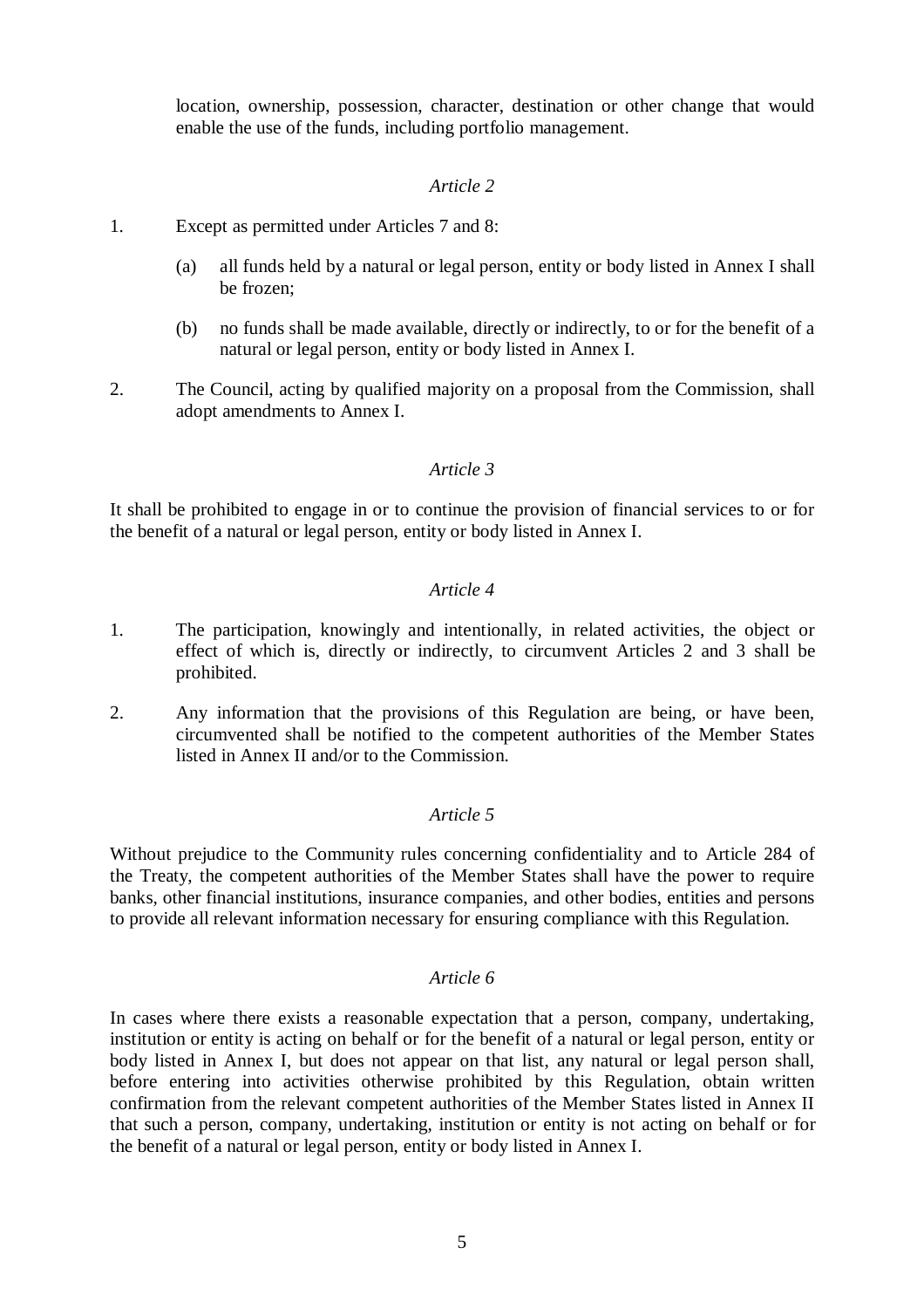location, ownership, possession, character, destination or other change that would enable the use of the funds, including portfolio management.

### *Article 2*

- 1. Except as permitted under Articles 7 and 8:
	- (a) all funds held by a natural or legal person, entity or body listed in Annex I shall be frozen;
	- (b) no funds shall be made available, directly or indirectly, to or for the benefit of a natural or legal person, entity or body listed in Annex I.
- 2. The Council, acting by qualified majority on a proposal from the Commission, shall adopt amendments to Annex I.

## *Article 3*

It shall be prohibited to engage in or to continue the provision of financial services to or for the benefit of a natural or legal person, entity or body listed in Annex I.

#### *Article 4*

- 1. The participation, knowingly and intentionally, in related activities, the object or effect of which is, directly or indirectly, to circumvent Articles 2 and 3 shall be prohibited.
- 2. Any information that the provisions of this Regulation are being, or have been, circumvented shall be notified to the competent authorities of the Member States listed in Annex II and/or to the Commission.

### *Article 5*

Without prejudice to the Community rules concerning confidentiality and to Article 284 of the Treaty, the competent authorities of the Member States shall have the power to require banks, other financial institutions, insurance companies, and other bodies, entities and persons to provide all relevant information necessary for ensuring compliance with this Regulation.

#### *Article 6*

In cases where there exists a reasonable expectation that a person, company, undertaking, institution or entity is acting on behalf or for the benefit of a natural or legal person, entity or body listed in Annex I, but does not appear on that list, any natural or legal person shall, before entering into activities otherwise prohibited by this Regulation, obtain written confirmation from the relevant competent authorities of the Member States listed in Annex II that such a person, company, undertaking, institution or entity is not acting on behalf or for the benefit of a natural or legal person, entity or body listed in Annex I.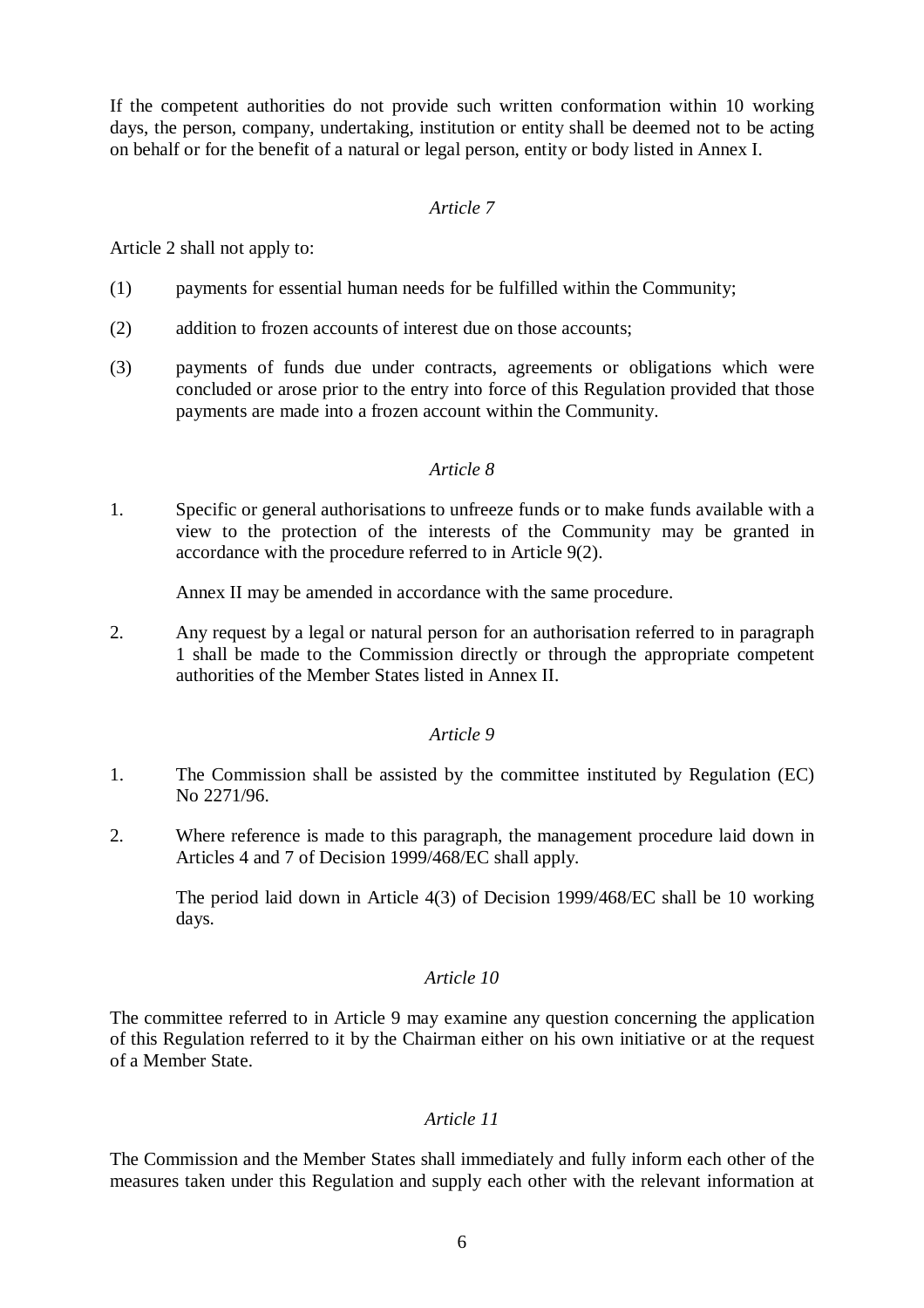If the competent authorities do not provide such written conformation within 10 working days, the person, company, undertaking, institution or entity shall be deemed not to be acting on behalf or for the benefit of a natural or legal person, entity or body listed in Annex I.

## *Article 7*

Article 2 shall not apply to:

- (1) payments for essential human needs for be fulfilled within the Community;
- (2) addition to frozen accounts of interest due on those accounts;
- (3) payments of funds due under contracts, agreements or obligations which were concluded or arose prior to the entry into force of this Regulation provided that those payments are made into a frozen account within the Community.

#### *Article 8*

1. Specific or general authorisations to unfreeze funds or to make funds available with a view to the protection of the interests of the Community may be granted in accordance with the procedure referred to in Article 9(2).

Annex II may be amended in accordance with the same procedure.

2. Any request by a legal or natural person for an authorisation referred to in paragraph 1 shall be made to the Commission directly or through the appropriate competent authorities of the Member States listed in Annex II.

# *Article 9*

- 1. The Commission shall be assisted by the committee instituted by Regulation (EC) No 2271/96.
- 2. Where reference is made to this paragraph, the management procedure laid down in Articles 4 and 7 of Decision 1999/468/EC shall apply.

The period laid down in Article 4(3) of Decision 1999/468/EC shall be 10 working days.

### *Article 10*

The committee referred to in Article 9 may examine any question concerning the application of this Regulation referred to it by the Chairman either on his own initiative or at the request of a Member State.

# *Article 11*

The Commission and the Member States shall immediately and fully inform each other of the measures taken under this Regulation and supply each other with the relevant information at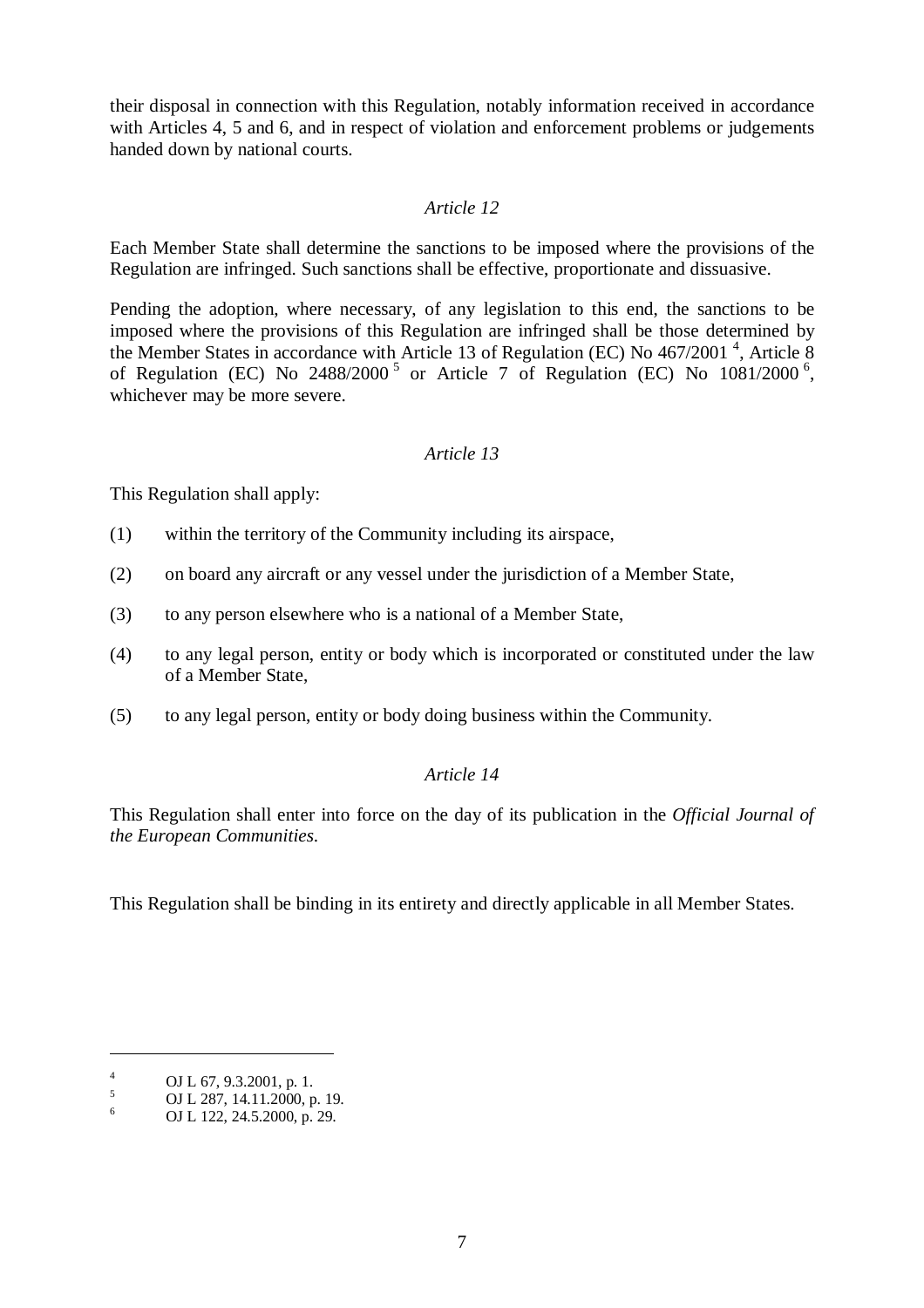their disposal in connection with this Regulation, notably information received in accordance with Articles 4, 5 and 6, and in respect of violation and enforcement problems or judgements handed down by national courts.

## *Article 12*

Each Member State shall determine the sanctions to be imposed where the provisions of the Regulation are infringed. Such sanctions shall be effective, proportionate and dissuasive.

Pending the adoption, where necessary, of any legislation to this end, the sanctions to be imposed where the provisions of this Regulation are infringed shall be those determined by the Member States in accordance with Article 13 of Regulation (EC) No 467/2001<sup>4</sup>, Article 8 of Regulation (EC) No  $2488/2000^5$  or Article 7 of Regulation (EC) No  $1081/2000^6$ , whichever may be more severe.

#### *Article 13*

This Regulation shall apply:

- (1) within the territory of the Community including its airspace,
- (2) on board any aircraft or any vessel under the jurisdiction of a Member State,
- (3) to any person elsewhere who is a national of a Member State,
- (4) to any legal person, entity or body which is incorporated or constituted under the law of a Member State,
- (5) to any legal person, entity or body doing business within the Community.

#### *Article 14*

This Regulation shall enter into force on the day of its publication in the *Official Journal of the European Communities*.

This Regulation shall be binding in its entirety and directly applicable in all Member States.

<sup>4</sup> OJ L 67, 9.3.2001, p. 1.<br>
5 OJ L 287, 14.11.2000, p. 19.<br>
OJ L 122, 24.5.2000, p. 29.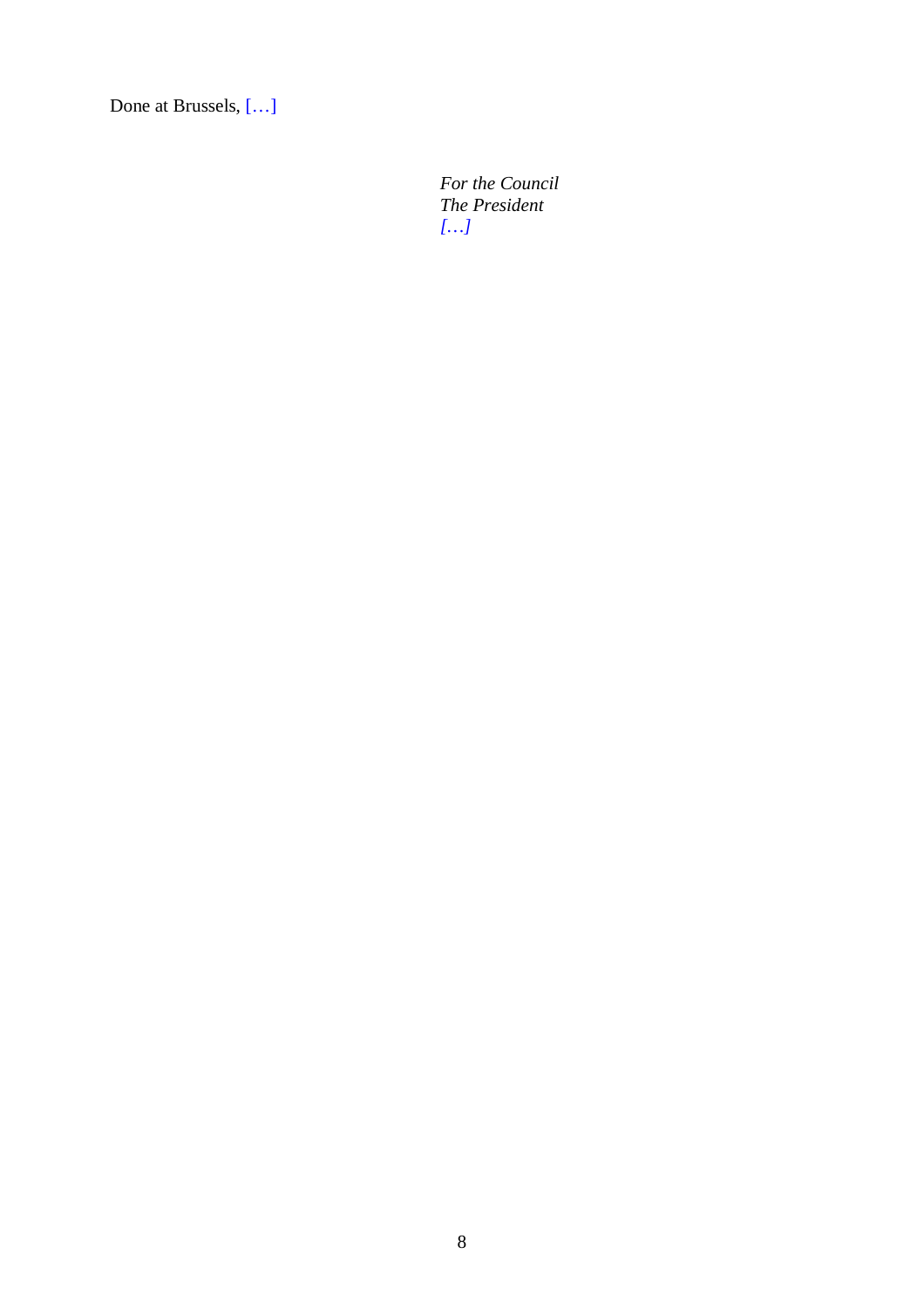Done at Brussels, […]

*For the Council The President […]*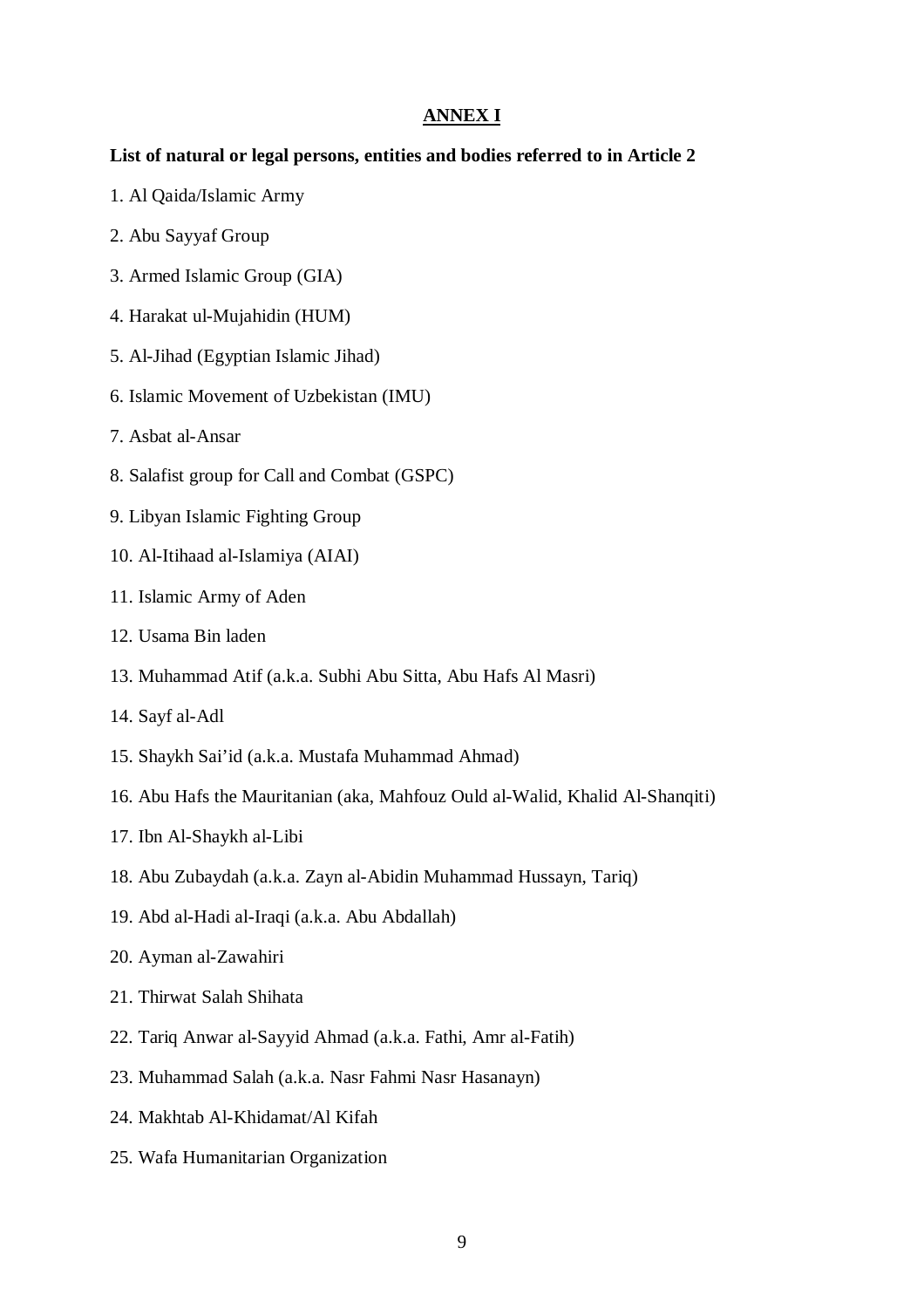#### **ANNEX I**

#### **List of natural or legal persons, entities and bodies referred to in Article 2**

- 1. Al Qaida/Islamic Army
- 2. Abu Sayyaf Group
- 3. Armed Islamic Group (GIA)
- 4. Harakat ul-Mujahidin (HUM)
- 5. Al-Jihad (Egyptian Islamic Jihad)
- 6. Islamic Movement of Uzbekistan (IMU)
- 7. Asbat al-Ansar
- 8. Salafist group for Call and Combat (GSPC)
- 9. Libyan Islamic Fighting Group
- 10. Al-Itihaad al-Islamiya (AIAI)
- 11. Islamic Army of Aden
- 12. Usama Bin laden
- 13. Muhammad Atif (a.k.a. Subhi Abu Sitta, Abu Hafs Al Masri)
- 14. Sayf al-Adl
- 15. Shaykh Sai'id (a.k.a. Mustafa Muhammad Ahmad)
- 16. Abu Hafs the Mauritanian (aka, Mahfouz Ould al-Walid, Khalid Al-Shanqiti)
- 17. Ibn Al-Shaykh al-Libi
- 18. Abu Zubaydah (a.k.a. Zayn al-Abidin Muhammad Hussayn, Tariq)
- 19. Abd al-Hadi al-Iraqi (a.k.a. Abu Abdallah)
- 20. Ayman al-Zawahiri
- 21. Thirwat Salah Shihata
- 22. Tariq Anwar al-Sayyid Ahmad (a.k.a. Fathi, Amr al-Fatih)
- 23. Muhammad Salah (a.k.a. Nasr Fahmi Nasr Hasanayn)
- 24. Makhtab Al-Khidamat/Al Kifah
- 25. Wafa Humanitarian Organization